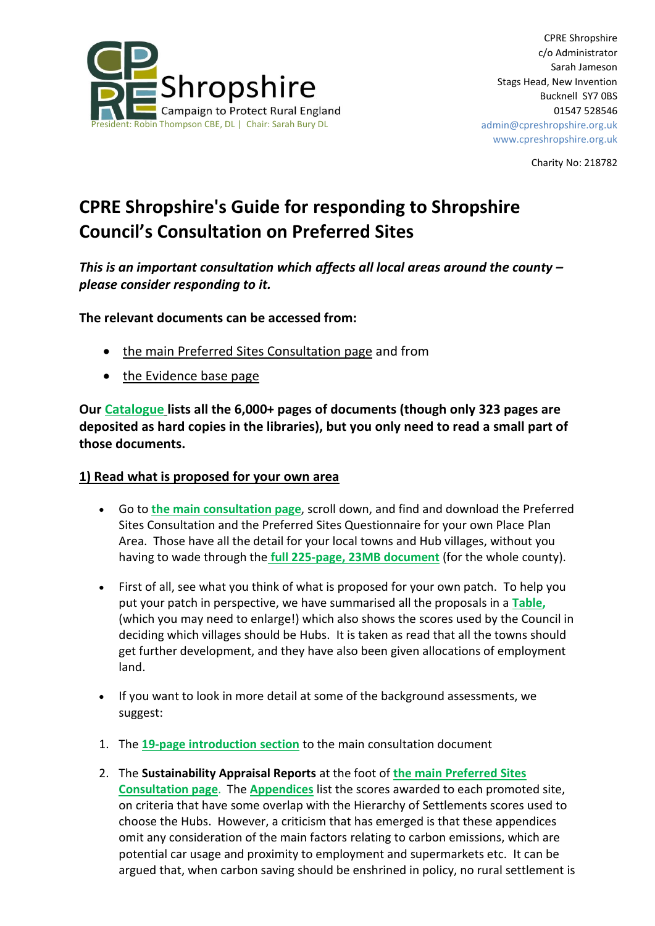

Charity No: 218782

# **CPRE Shropshire's Guide for responding to Shropshire Council's Consultation on Preferred Sites**

*This is an important consultation which affects all local areas around the county – please consider responding to it.*

**The relevant documents can be accessed from:**

- the main Preferred Sites [Consultation](http://www.shropshire.gov.uk/get-involved/local-plan-review-preferred-sites-consultation/) page and from
- the [Evidence](http://www.shropshire.gov.uk/planning-policy/local-planning/local-plan-partial-review-2016-2036/evidence-base/) base page

**Our [Catalogue](https://docs.wixstatic.com/ugd/3a7ca5_5ffcba07fa9b46b980b3d710d1a6bd4d.pdf) lists all the 6,000+ pages of documents (though only 323 pages are deposited as hard copies in the libraries), but you only need to read a small part of those documents.**

### **1) Read what is proposed for your own area**

- Go to **the main [consultation](http://www.shropshire.gov.uk/get-involved/local-plan-review-preferred-sites-consultation/) page**, scroll down, and find and download the Preferred Sites Consultation and the Preferred Sites Questionnaire for your own Place Plan Area. Those have all the detail for your local towns and Hub villages, without you having to wade through the **full 225-page, 23MB [document](http://www.shropshire.gov.uk/media/11266/00-preferred-sites-consultation-full-document.pdf)** (for the whole county).
- First of all, see what you think of what is proposed for your own patch. To help you put your patch in perspective, we have summarised all the proposals in a **[Table,](https://docs.wixstatic.com/ugd/3a7ca5_ab43220216d04c6ca1eaaee91e6c897a.pdf)** (which you may need to enlarge!) which also shows the scores used by the Council in deciding which villages should be Hubs. It is taken as read that all the towns should get further development, and they have also been given allocations of employment land.
- If you want to look in more detail at some of the background assessments, we suggest:
- 1. The **19-page [introduction](http://www.shropshire.gov.uk/media/11268/01-preferred-sites-consultation-introduction.pdf) section** to the main consultation document
- 2. The **Sustainability Appraisal Reports** at the foot of **the main [Preferred](http://www.shropshire.gov.uk/get-involved/local-plan-review-preferred-sites-consultation/) Sites [Consultation](http://www.shropshire.gov.uk/get-involved/local-plan-review-preferred-sites-consultation/) page**. The **[Appendices](http://www.shropshire.gov.uk/media/11331/sustainability-appraisal-report-appendices-preferred-sites.pdf)** list the scores awarded to each promoted site, on criteria that have some overlap with the Hierarchy of Settlements scores used to choose the Hubs. However, a criticism that has emerged is that these appendices omit any consideration of the main factors relating to carbon emissions, which are potential car usage and proximity to employment and supermarkets etc. It can be argued that, when carbon saving should be enshrined in policy, no rural settlement is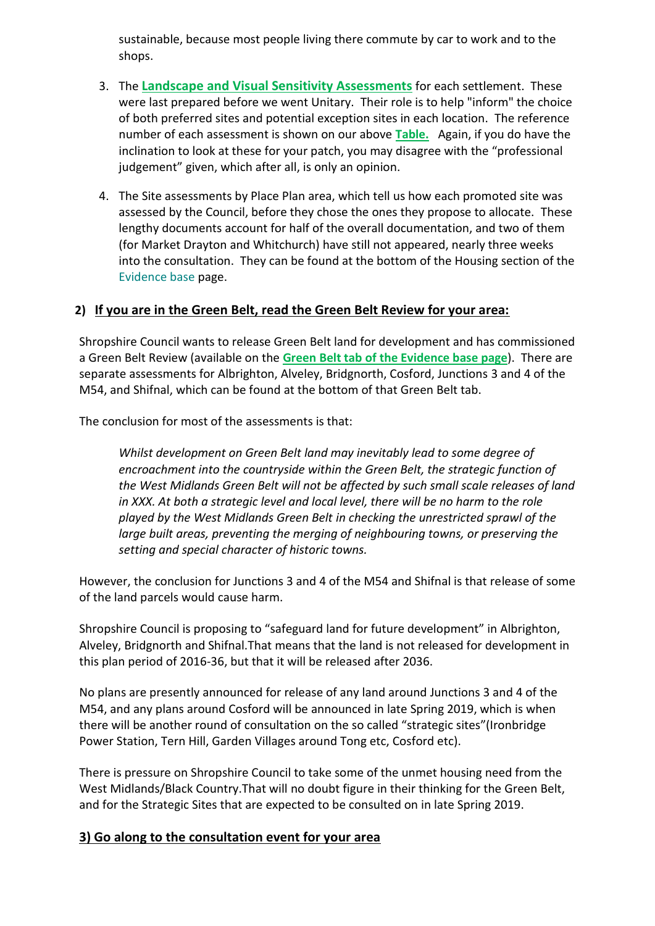sustainable, because most people living there commute by car to work and to the shops.

- 3. The **Landscape and Visual Sensitivity [Assessments](http://www.shropshire.gov.uk/planning-policy/local-planning/local-plan-partial-review-2016-2036/evidence-base/landscape-and-visual-sensitivity-study/)** for each settlement. These were last prepared before we went Unitary. Their role is to help "inform" the choice of both preferred sites and potential exception sites in each location. The reference number of each assessment is shown on our above **[Table.](https://docs.wixstatic.com/ugd/3a7ca5_ab43220216d04c6ca1eaaee91e6c897a.pdf)** Again, if you do have the inclination to look at these for your patch, you may disagree with the "professional judgement" given, which after all, is only an opinion.
- 4. The Site assessments by Place Plan area, which tell us how each promoted site was assessed by the Council, before they chose the ones they propose to allocate. These lengthy documents account for half of the overall documentation, and two of them (for Market Drayton and Whitchurch) have still not appeared, nearly three weeks into the consultation. They can be found at the bottom of the Housing section of the [Evidence base](http://www.shropshire.gov.uk/planning-policy/local-planning/local-plan-partial-review-2016-2036/evidence-base/) page.

### **2) If you are in the Green Belt, read the Green Belt Review for your area:**

Shropshire Council wants to release Green Belt land for development and has commissioned a Green Belt Review (available on the **Green Belt tab of the [Evidence](http://www.shropshire.gov.uk/planning-policy/local-planning/local-plan-partial-review-2016-2036/evidence-base/) base page**). There are separate assessments for Albrighton, Alveley, Bridgnorth, Cosford, Junctions 3 and 4 of the M54, and Shifnal, which can be found at the bottom of that Green Belt tab.

The conclusion for most of the assessments is that:

*Whilst development on Green Belt land may inevitably lead to some degree of encroachment into the countryside within the Green Belt, the strategic function of the West Midlands Green Belt will not be affected by such small scale releases of land in XXX. At both a strategic level and local level, there will be no harm to the role played by the West Midlands Green Belt in checking the unrestricted sprawl of the large built areas, preventing the merging of neighbouring towns, or preserving the setting and special character of historic towns.*

However, the conclusion for Junctions 3 and 4 of the M54 and Shifnal is that release of some of the land parcels would cause harm.

Shropshire Council is proposing to "safeguard land for future development" in Albrighton, Alveley, Bridgnorth and Shifnal.That means that the land is not released for development in this plan period of 2016-36, but that it will be released after 2036.

No plans are presently announced for release of any land around Junctions 3 and 4 of the M54, and any plans around Cosford will be announced in late Spring 2019, which is when there will be another round of consultation on the so called "strategic sites"(Ironbridge Power Station, Tern Hill, Garden Villages around Tong etc, Cosford etc).

There is pressure on Shropshire Council to take some of the unmet housing need from the West Midlands/Black Country.That will no doubt figure in their thinking for the Green Belt, and for the Strategic Sites that are expected to be consulted on in late Spring 2019.

### **3) Go along to the consultation event for your area**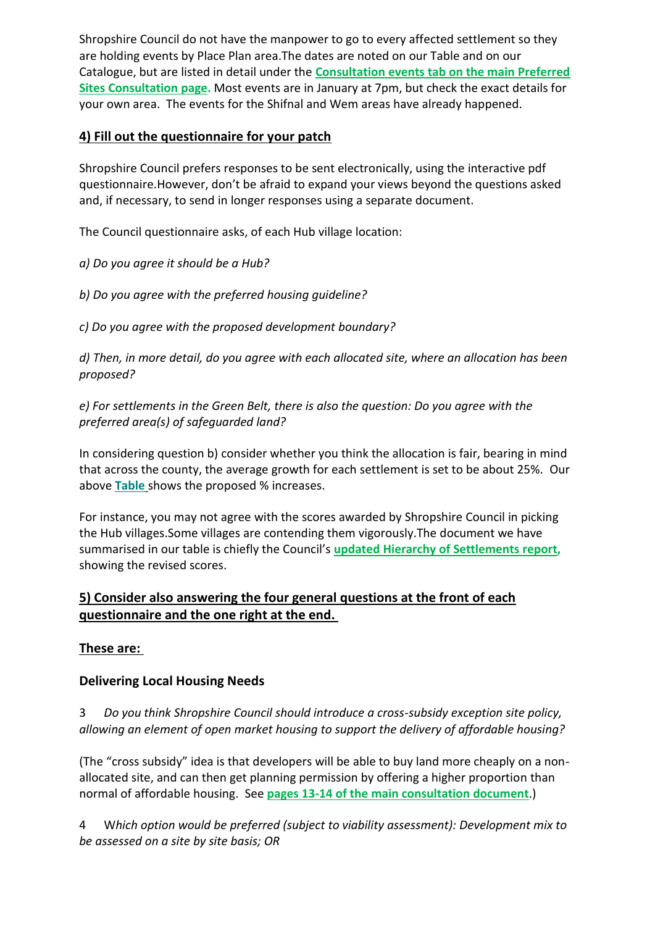Shropshire Council do not have the manpower to go to every affected settlement so they are holding events by Place Plan area.The dates are noted on our Table and on our Catalogue, but are listed in detail under the **[Consultation](http://www.shropshire.gov.uk/get-involved/local-plan-review-preferred-sites-consultation/) events tab on the main Preferred Sites [Consultation](http://www.shropshire.gov.uk/get-involved/local-plan-review-preferred-sites-consultation/) page.** Most events are in January at 7pm, but check the exact details for your own area. The events for the Shifnal and Wem areas have already happened.

### **4) Fill out the questionnaire for your patch**

Shropshire Council prefers responses to be sent electronically, using the interactive pdf questionnaire.However, don't be afraid to expand your views beyond the questions asked and, if necessary, to send in longer responses using a separate document.

The Council questionnaire asks, of each Hub village location:

*a) Do you agree it should be a Hub?*

*b) Do you agree with the preferred housing guideline?*

*c) Do you agree with the proposed development boundary?*

*d) Then, in more detail, do you agree with each allocated site, where an allocation has been proposed?*

*e) For settlements in the Green Belt, there is also the question: Do you agree with the preferred area(s) of safeguarded land?*

In considering question b) consider whether you think the allocation is fair, bearing in mind that across the county, the average growth for each settlement is set to be about 25%. Our above **[Table](https://docs.wixstatic.com/ugd/3a7ca5_ab43220216d04c6ca1eaaee91e6c897a.pdf)** shows the proposed % increases.

For instance, you may not agree with the scores awarded by Shropshire Council in picking the Hub villages.Some villages are contending them vigorously.The document we have summarised in our table is chiefly the Council's **updated Hierarchy of [Settlements](http://www.shropshire.gov.uk/media/11310/1-updated-hierarchy-of-settlements-assessment.pdf) report,** showing the revised scores.

# **5) Consider also answering the four general questions at the front of each questionnaire and the one right at the end.**

## **These are:**

## **Delivering Local Housing Needs**

3 *Do you think Shropshire Council should introduce a cross-subsidy exception site policy, allowing an element of open market housing to support the delivery of affordable housing?*

(The "cross subsidy" idea is that developers will be able to buy land more cheaply on a nonallocated site, and can then get planning permission by offering a higher proportion than normal of affordable housing. See **pages 13-14 of the main [consultation](http://www.shropshire.gov.uk/media/11268/01-preferred-sites-consultation-introduction.pdf) document**.)

4 W*hich option would be preferred (subject to viability assessment): Development mix to be assessed on a site by site basis; OR*